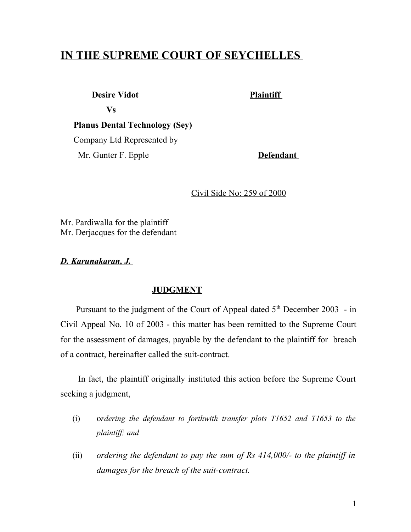## **IN THE SUPREME COURT OF SEYCHELLES**

**Desire Vidot Plaintiff** 

 **Vs** 

 **Planus Dental Technology (Sey)** Company Ltd Represented by Mr. Gunter F. Epple **Defendant** 

Civil Side No: 259 of 2000

Mr. Pardiwalla for the plaintiff Mr. Derjacques for the defendant

 *D. Karunakaran, J.*

## **JUDGMENT**

Pursuant to the judgment of the Court of Appeal dated  $5<sup>th</sup>$  December 2003 - in Civil Appeal No. 10 of 2003 - this matter has been remitted to the Supreme Court for the assessment of damages, payable by the defendant to the plaintiff for breach of a contract, hereinafter called the suit-contract.

 In fact, the plaintiff originally instituted this action before the Supreme Court seeking a judgment,

- (i) o*rdering the defendant to forthwith transfer plots T1652 and T1653 to the plaintiff; and*
- (ii) *ordering the defendant to pay the sum of Rs 414,000/- to the plaintiff in damages for the breach of the suit-contract.*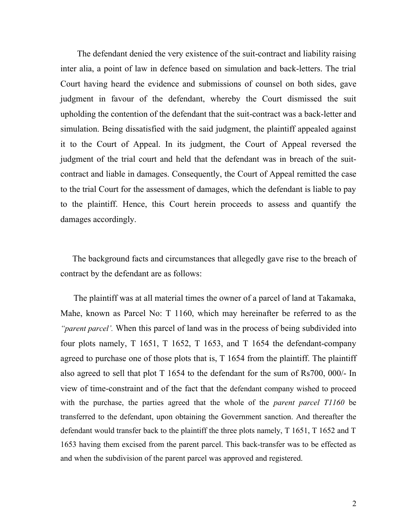The defendant denied the very existence of the suit-contract and liability raising inter alia, a point of law in defence based on simulation and back-letters. The trial Court having heard the evidence and submissions of counsel on both sides, gave judgment in favour of the defendant, whereby the Court dismissed the suit upholding the contention of the defendant that the suit-contract was a back-letter and simulation. Being dissatisfied with the said judgment, the plaintiff appealed against it to the Court of Appeal. In its judgment, the Court of Appeal reversed the judgment of the trial court and held that the defendant was in breach of the suitcontract and liable in damages. Consequently, the Court of Appeal remitted the case to the trial Court for the assessment of damages, which the defendant is liable to pay to the plaintiff. Hence, this Court herein proceeds to assess and quantify the damages accordingly.

 The background facts and circumstances that allegedly gave rise to the breach of contract by the defendant are as follows:

 The plaintiff was at all material times the owner of a parcel of land at Takamaka, Mahe, known as Parcel No: T 1160, which may hereinafter be referred to as the *"parent parcel'.* When this parcel of land was in the process of being subdivided into four plots namely, T 1651, T 1652, T 1653, and T 1654 the defendant-company agreed to purchase one of those plots that is, T 1654 from the plaintiff. The plaintiff also agreed to sell that plot T 1654 to the defendant for the sum of Rs700, 000/- In view of time-constraint and of the fact that the defendant company wished to proceed with the purchase, the parties agreed that the whole of the *parent parcel T1160* be transferred to the defendant, upon obtaining the Government sanction. And thereafter the defendant would transfer back to the plaintiff the three plots namely, T 1651, T 1652 and T 1653 having them excised from the parent parcel. This back-transfer was to be effected as and when the subdivision of the parent parcel was approved and registered.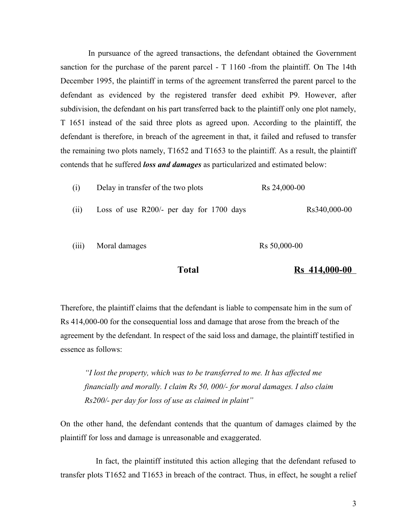In pursuance of the agreed transactions, the defendant obtained the Government sanction for the purchase of the parent parcel - T 1160 -from the plaintiff. On The 14th December 1995, the plaintiff in terms of the agreement transferred the parent parcel to the defendant as evidenced by the registered transfer deed exhibit P9. However, after subdivision, the defendant on his part transferred back to the plaintiff only one plot namely, T 1651 instead of the said three plots as agreed upon. According to the plaintiff, the defendant is therefore, in breach of the agreement in that, it failed and refused to transfer the remaining two plots namely, T1652 and T1653 to the plaintiff. As a result, the plaintiff contends that he suffered *loss and damages* as particularized and estimated below:

| (i)   | Delay in transfer of the two plots         | Rs 24,000-00             |
|-------|--------------------------------------------|--------------------------|
| (11)  | Loss of use $R200/-$ per day for 1700 days | Rs340,000-00             |
| (111) | Moral damages                              | R <sub>s</sub> 50,000-00 |

**Total Rs** 414,000-00

Therefore, the plaintiff claims that the defendant is liable to compensate him in the sum of Rs 414,000-00 for the consequential loss and damage that arose from the breach of the agreement by the defendant. In respect of the said loss and damage, the plaintiff testified in essence as follows:

*"I lost the property, which was to be transferred to me. It has affected me financially and morally. I claim Rs 50, 000/- for moral damages. I also claim Rs200/- per day for loss of use as claimed in plaint"* 

On the other hand, the defendant contends that the quantum of damages claimed by the plaintiff for loss and damage is unreasonable and exaggerated.

 In fact, the plaintiff instituted this action alleging that the defendant refused to transfer plots T1652 and T1653 in breach of the contract. Thus, in effect, he sought a relief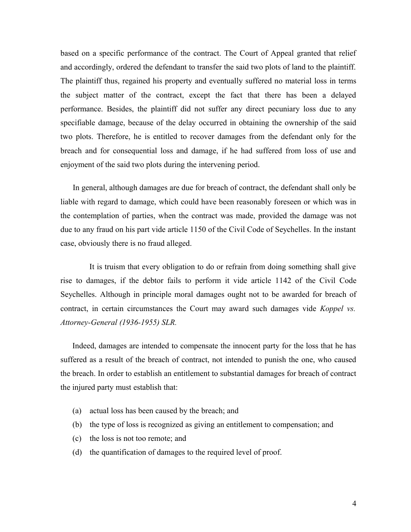based on a specific performance of the contract. The Court of Appeal granted that relief and accordingly, ordered the defendant to transfer the said two plots of land to the plaintiff. The plaintiff thus, regained his property and eventually suffered no material loss in terms the subject matter of the contract, except the fact that there has been a delayed performance. Besides, the plaintiff did not suffer any direct pecuniary loss due to any specifiable damage, because of the delay occurred in obtaining the ownership of the said two plots. Therefore, he is entitled to recover damages from the defendant only for the breach and for consequential loss and damage, if he had suffered from loss of use and enjoyment of the said two plots during the intervening period.

 In general, although damages are due for breach of contract, the defendant shall only be liable with regard to damage, which could have been reasonably foreseen or which was in the contemplation of parties, when the contract was made, provided the damage was not due to any fraud on his part vide article 1150 of the Civil Code of Seychelles. In the instant case, obviously there is no fraud alleged.

 It is truism that every obligation to do or refrain from doing something shall give rise to damages, if the debtor fails to perform it vide article 1142 of the Civil Code Seychelles. Although in principle moral damages ought not to be awarded for breach of contract, in certain circumstances the Court may award such damages vide *Koppel vs. Attorney-General (1936-1955) SLR.* 

 Indeed, damages are intended to compensate the innocent party for the loss that he has suffered as a result of the breach of contract, not intended to punish the one, who caused the breach. In order to establish an entitlement to substantial damages for breach of contract the injured party must establish that:

- (a) actual loss has been caused by the breach; and
- (b) the type of loss is recognized as giving an entitlement to compensation; and
- (c) the loss is not too remote; and
- (d) the quantification of damages to the required level of proof.